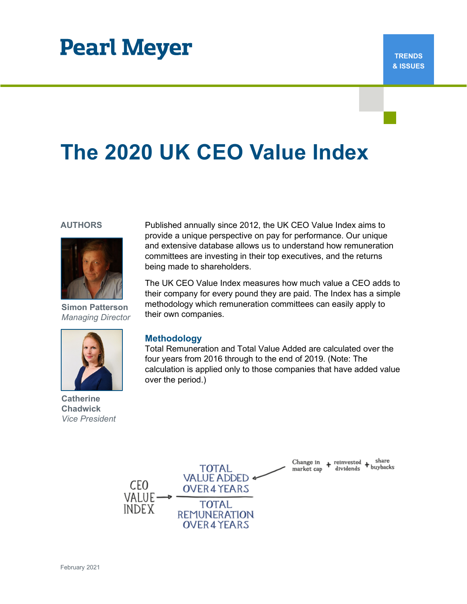## **Pearl Meyer**

# **The 2020 UK CEO Value Index**

#### **AUTHORS**



**Simon Patterson** *Managing Director*



**Catherine Chadwick** *Vice President*

Published annually since 2012, the UK CEO Value Index aims to provide a unique perspective on pay for performance. Our unique and extensive database allows us to understand how remuneration committees are investing in their top executives, and the returns being made to shareholders.

The UK CEO Value Index measures how much value a CEO adds to their company for every pound they are paid. The Index has a simple methodology which remuneration committees can easily apply to their own companies.

#### **Methodology**

Total Remuneration and Total Value Added are calculated over the four years from 2016 through to the end of 2019. (Note: The calculation is applied only to those companies that have added value over the period.)

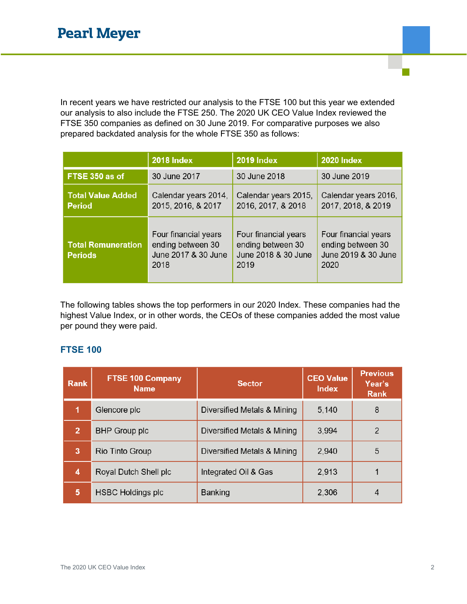In recent years we have restricted our analysis to the FTSE 100 but this year we extended our analysis to also include the FTSE 250. The 2020 UK CEO Value Index reviewed the FTSE 350 companies as defined on 30 June 2019. For comparative purposes we also prepared backdated analysis for the whole FTSE 350 as follows:

|                                             | <b>2018 Index</b>                                                        | <b>2019 Index</b>                                                        | <b>2020 Index</b>                                                        |  |
|---------------------------------------------|--------------------------------------------------------------------------|--------------------------------------------------------------------------|--------------------------------------------------------------------------|--|
| FTSE 350 as of                              | 30 June 2017                                                             | 30 June 2018                                                             | 30 June 2019                                                             |  |
| <b>Total Value Added</b><br><b>Period</b>   | Calendar years 2014,<br>2015, 2016, & 2017                               | Calendar years 2015,<br>2016, 2017, & 2018                               | Calendar years 2016,<br>2017, 2018, & 2019                               |  |
| <b>Total Remuneration</b><br><b>Periods</b> | Four financial years<br>ending between 30<br>June 2017 & 30 June<br>2018 | Four financial years<br>ending between 30<br>June 2018 & 30 June<br>2019 | Four financial years<br>ending between 30<br>June 2019 & 30 June<br>2020 |  |

The following tables shows the top performers in our 2020 Index. These companies had the highest Value Index, or in other words, the CEOs of these companies added the most value per pound they were paid.

#### **FTSE 100**

| <b>Rank</b>    | <b>FTSE 100 Company</b><br><b>Name</b> | <b>Sector</b>               | <b>CEO Value</b><br><b>Index</b> | <b>Previous</b><br>Year's<br><b>Rank</b> |
|----------------|----------------------------------------|-----------------------------|----------------------------------|------------------------------------------|
| 1              | Glencore plc                           | Diversified Metals & Mining | 5,140                            | 8                                        |
| $\overline{2}$ | <b>BHP Group plc</b>                   | Diversified Metals & Mining | 3,994                            | 2                                        |
| 3              | Rio Tinto Group                        | Diversified Metals & Mining | 2,940                            | 5                                        |
| 4              | Royal Dutch Shell plc                  | Integrated Oil & Gas        | 2,913                            |                                          |
| 5              | <b>HSBC Holdings plc</b>               | <b>Banking</b>              | 2,306                            |                                          |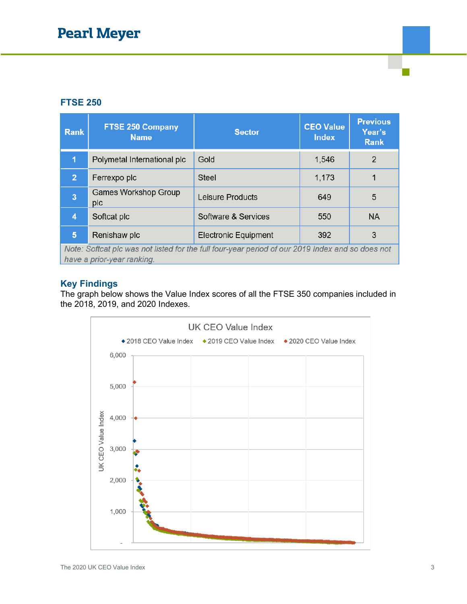#### **FTSE 250**

| <b>Rank</b>                                                                                                                    | <b>FTSE 250 Company</b><br><b>Name</b> | <b>Sector</b>               | <b>CEO Value</b><br><b>Index</b> | <b>Previous</b><br>Year's<br><b>Rank</b> |  |  |
|--------------------------------------------------------------------------------------------------------------------------------|----------------------------------------|-----------------------------|----------------------------------|------------------------------------------|--|--|
| 1                                                                                                                              | Polymetal International plc            | Gold                        | 1,546                            | 2                                        |  |  |
| 2 <sup>1</sup>                                                                                                                 | Ferrexpo plc                           | <b>Steel</b>                | 1,173                            |                                          |  |  |
| $\overline{3}$                                                                                                                 | <b>Games Workshop Group</b><br>plc     | Leisure Products            | 649                              | 5                                        |  |  |
| 4                                                                                                                              | Softcat plc                            | Software & Services         | 550                              | <b>NA</b>                                |  |  |
| $5\phantom{1}$                                                                                                                 | Renishaw plc                           | <b>Electronic Equipment</b> | 392                              | 3                                        |  |  |
| Note: Softcat plc was not listed for the full four-year period of our 2019 Index and so does not<br>have a prior-year ranking. |                                        |                             |                                  |                                          |  |  |

#### **Key Findings**

The graph below shows the Value Index scores of all the FTSE 350 companies included in the 2018, 2019, and 2020 Indexes.

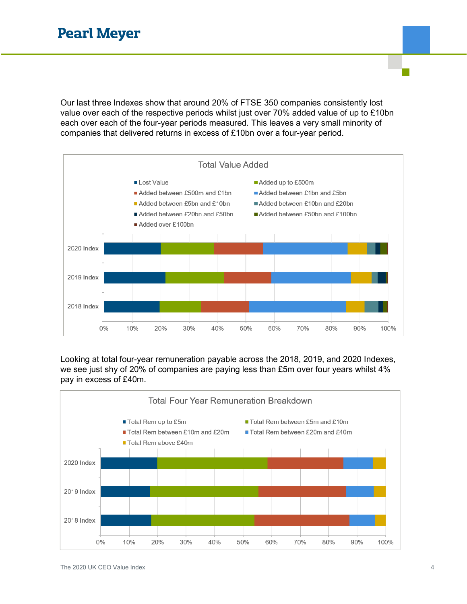Our last three Indexes show that around 20% of FTSE 350 companies consistently lost value over each of the respective periods whilst just over 70% added value of up to £10bn each over each of the four-year periods measured. This leaves a very small minority of companies that delivered returns in excess of £10bn over a four-year period.



Looking at total four-year remuneration payable across the 2018, 2019, and 2020 Indexes, we see just shy of 20% of companies are paying less than £5m over four years whilst 4% pay in excess of £40m.

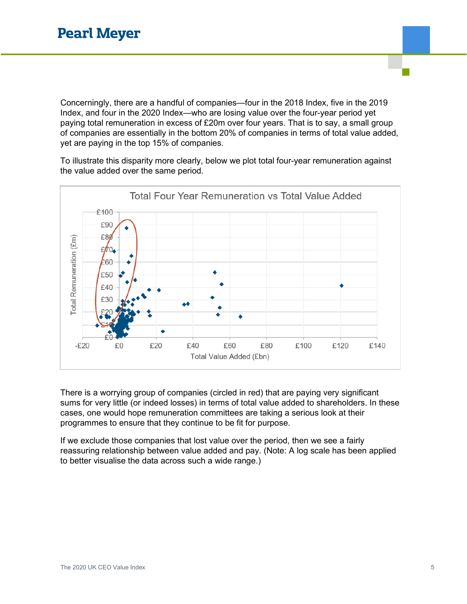Concerningly, there are a handful of companies—four in the 2018 Index, five in the 2019 Index, and four in the 2020 Index—who are losing value over the four-year period yet paying total remuneration in excess of £20m over four years. That is to say, a small group of companies are essentially in the bottom 20% of companies in terms of total value added, yet are paying in the top 15% of companies.

To illustrate this disparity more clearly, below we plot total four-year remuneration against the value added over the same period.



There is a worrying group of companies (circled in red) that are paying very significant sums for very little (or indeed losses) in terms of total value added to shareholders. In these cases, one would hope remuneration committees are taking a serious look at their programmes to ensure that they continue to be fit for purpose.

If we exclude those companies that lost value over the period, then we see a fairly reassuring relationship between value added and pay. (Note: A log scale has been applied to better visualise the data across such a wide range.)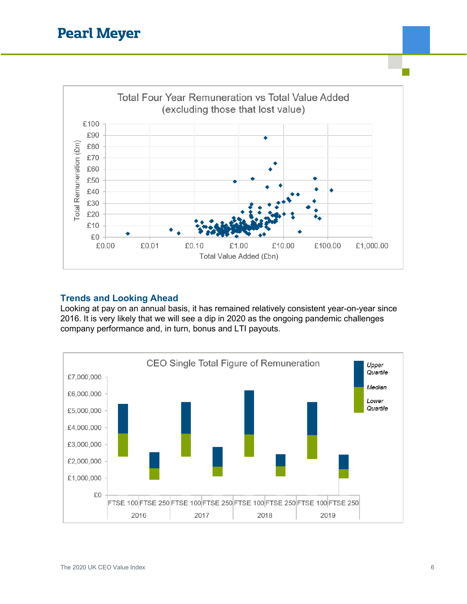

#### **Trends and Looking Ahead**

Looking at pay on an annual basis, it has remained relatively consistent year-on-year since 2016. It is very likely that we will see a dip in 2020 as the ongoing pandemic challenges company performance and, in turn, bonus and LTI payouts.

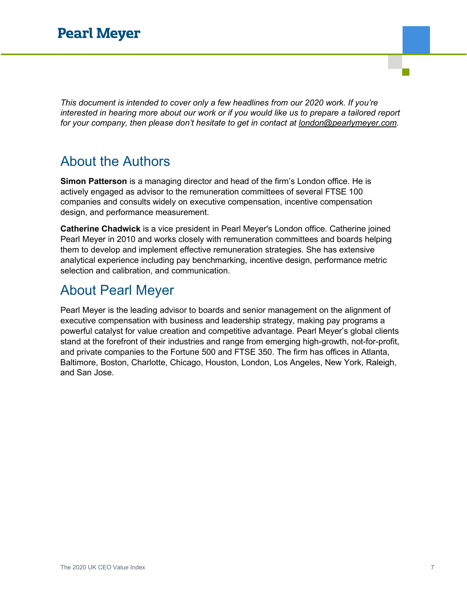*This document is intended to cover only a few headlines from our 2020 work. If you're interested in hearing more about our work or if you would like us to prepare a tailored report for your company, then please don't hesitate to get in contact at [london@pearlymeyer.com.](mailto:london@pearlymeyer.com)*

### About the Authors

**Simon Patterson** is a managing director and head of the firm's London office. He is actively engaged as advisor to the remuneration committees of several FTSE 100 companies and consults widely on executive compensation, incentive compensation design, and performance measurement.

**Catherine Chadwick** is a vice president in Pearl Meyer's London office. Catherine joined Pearl Meyer in 2010 and works closely with remuneration committees and boards helping them to develop and implement effective remuneration strategies. She has extensive analytical experience including pay benchmarking, incentive design, performance metric selection and calibration, and communication.

### About Pearl Meyer

Pearl Meyer is the leading advisor to boards and senior management on the alignment of executive compensation with business and leadership strategy, making pay programs a powerful catalyst for value creation and competitive advantage. Pearl Meyer's global clients stand at the forefront of their industries and range from emerging high-growth, not-for-profit, and private companies to the Fortune 500 and FTSE 350. The firm has offices in Atlanta, Baltimore, Boston, Charlotte, Chicago, Houston, London, Los Angeles, New York, Raleigh, and San Jose.